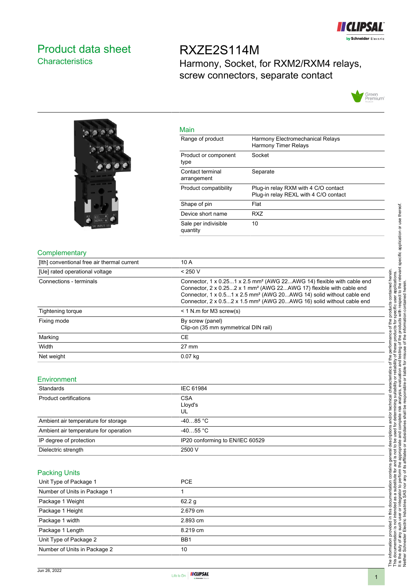

# <span id="page-0-0"></span>Product data sheet **Characteristics**

RXZE2S114M Harmony, Socket, for RXM2/RXM4 relays, screw connectors, separate contact





| MallT                            |                                                                               |
|----------------------------------|-------------------------------------------------------------------------------|
| Range of product                 | Harmony Electromechanical Relays<br><b>Harmony Timer Relays</b>               |
| Product or component<br>type     | Socket                                                                        |
| Contact terminal<br>arrangement  | Separate                                                                      |
| Product compatibility            | Plug-in relay RXM with 4 C/O contact<br>Plug-in relay REXL with 4 C/O contact |
| Shape of pin                     | Flat                                                                          |
| Device short name                | <b>RXZ</b>                                                                    |
| Sale per indivisible<br>quantity | 10                                                                            |
|                                  |                                                                               |

#### **Complementary**

| [Ith] conventional free air thermal current | 10 A                                                                                                                                                                                                                                                                                                                                         |
|---------------------------------------------|----------------------------------------------------------------------------------------------------------------------------------------------------------------------------------------------------------------------------------------------------------------------------------------------------------------------------------------------|
| [Ue] rated operational voltage              | < 250 V                                                                                                                                                                                                                                                                                                                                      |
| Connections - terminals                     | Connector, 1 x 0.251 x 2.5 mm <sup>2</sup> (AWG 22AWG 14) flexible with cable end<br>Connector, 2 x 0.252 x 1 mm <sup>2</sup> (AWG 22AWG 17) flexible with cable end<br>Connector, 1 x 0.51 x 2.5 mm <sup>2</sup> (AWG 20AWG 14) solid without cable end<br>Connector, 2 x 0.52 x 1.5 mm <sup>2</sup> (AWG 20AWG 16) solid without cable end |
| Tightening torque                           | $<$ 1 N.m for M3 screw(s)                                                                                                                                                                                                                                                                                                                    |
| Fixing mode                                 | By screw (panel)<br>Clip-on (35 mm symmetrical DIN rail)                                                                                                                                                                                                                                                                                     |
| Marking                                     | <b>CE</b>                                                                                                                                                                                                                                                                                                                                    |
| Width                                       | $27 \text{ mm}$                                                                                                                                                                                                                                                                                                                              |
| Net weight                                  | $0.07$ kg                                                                                                                                                                                                                                                                                                                                    |

Main

## Environment

| Standards                             | IEC 61984                       |
|---------------------------------------|---------------------------------|
| Product certifications                | <b>CSA</b><br>Lloyd's<br>UL     |
| Ambient air temperature for storage   | $-4085 °C$                      |
| Ambient air temperature for operation | $-4055$ °C                      |
| IP degree of protection               | IP20 conforming to EN/IEC 60529 |
| Dielectric strength                   | 2500 V                          |

#### Packing Units

| Unit Type of Package 1       | <b>PCE</b>        |
|------------------------------|-------------------|
| Number of Units in Package 1 |                   |
| Package 1 Weight             | 62.2 <sub>g</sub> |
| Package 1 Height             | 2.679 cm          |
| Package 1 width              | 2.893 cm          |
| Package 1 Length             | 8.219 cm          |
| Unit Type of Package 2       | BB <sub>1</sub>   |
| Number of Units in Package 2 | 10                |

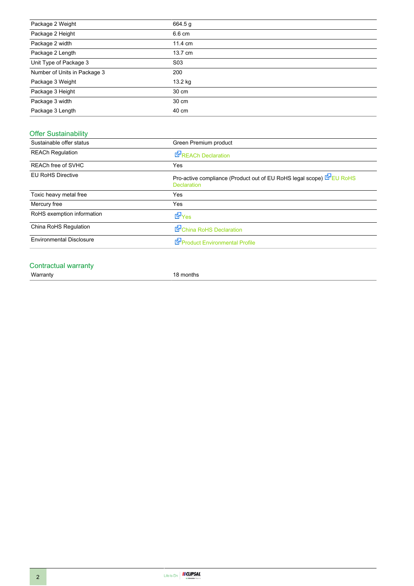| Package 2 Weight             | 664.5 g          |
|------------------------------|------------------|
| Package 2 Height             | 6.6 cm           |
| Package 2 width              | 11.4 cm          |
| Package 2 Length             | 13.7 cm          |
| Unit Type of Package 3       | S <sub>0</sub> 3 |
| Number of Units in Package 3 | 200              |
| Package 3 Weight             | 13.2 kg          |
| Package 3 Height             | 30 cm            |
| Package 3 width              | 30 cm            |
| Package 3 Length             | 40 cm            |

# Offer Sustainability

| Green Premium product                                                                    |
|------------------------------------------------------------------------------------------|
| <b>REACh Declaration</b>                                                                 |
| Yes                                                                                      |
| Pro-active compliance (Product out of EU RoHS legal scope) EU RoHS<br><b>Declaration</b> |
| Yes                                                                                      |
| Yes                                                                                      |
| <b>d</b> Yes                                                                             |
| China RoHS Declaration                                                                   |
| Product Environmental Profile                                                            |
|                                                                                          |

# Contractual warranty<br>Warranty

18 months